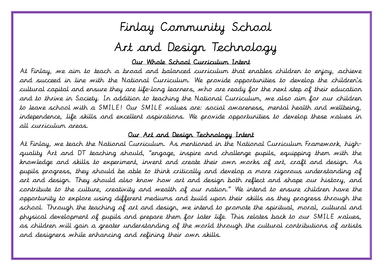## Finlay Community School

## Art and Design Technology

#### Our Whole School Curriculum Intent

 At Finlay, we aim to teach a broad and balanced curriculum that enables children to enjoy, achieve and succeed in line with the National Curriculum. We provide opportunities to develop the children's cultural capital and ensure they are life-long learners, who are ready for the next step of their education and to thrive in Society. In addition to teaching the National Curriculum, we also aim for our children to leave school with a SMILE! Our SMILE values are: social awareness, mental health and wellbeing, independence, life skills and excellent aspirations. We provide opportunities to develop these values in all curriculum areas.

#### Our Art and Design Technology Intent

 At Finlay, we teach the National Curriculum. As mentioned in the National Curriculum Framework, highquality Art and DT teaching should, "engage, inspire and challenge pupils, equipping them with the knowledge and skills to experiment, invent and create their own works of art, craft and design. As pupils progress, they should be able to think critically and develop a more rigorous understanding of art and design. They should also know how art and design both reflect and shape our history, and contribute to the culture, creativity and wealth of our nation." We intend to ensure children have the opportunity to explore using different mediums and build upon their skills as they progress through the school. Through the teaching of art and design, we intend to promote the spiritual, moral, cultural and physical development of pupils and prepare them for later life. This relates back to our SMILE values, as children will gain a greater understanding of the world through the cultural contributions of artists and designers while enhancing and refining their own skills.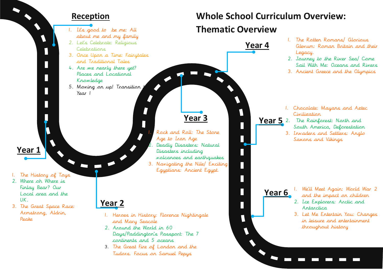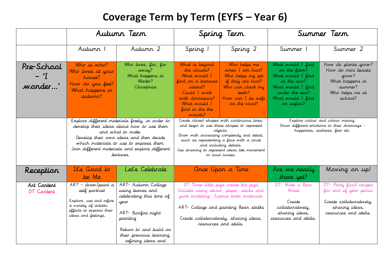## **Coverage Term by Term (EYFS – Year 6)**

|                                |                                                                                                                                                                                                                                                                        | Autunn Tern                                                                                                                                                                               |                                                                                                                                                                       | Spring Term                                                                                                                                                                                                                                                                                    |                                                                                                                                                 | Summer Term                                                                                                            |  |
|--------------------------------|------------------------------------------------------------------------------------------------------------------------------------------------------------------------------------------------------------------------------------------------------------------------|-------------------------------------------------------------------------------------------------------------------------------------------------------------------------------------------|-----------------------------------------------------------------------------------------------------------------------------------------------------------------------|------------------------------------------------------------------------------------------------------------------------------------------------------------------------------------------------------------------------------------------------------------------------------------------------|-------------------------------------------------------------------------------------------------------------------------------------------------|------------------------------------------------------------------------------------------------------------------------|--|
|                                | Autumn 1                                                                                                                                                                                                                                                               | Autumn 2                                                                                                                                                                                  | Spring 1                                                                                                                                                              | Spring 2                                                                                                                                                                                                                                                                                       | Summer 1                                                                                                                                        | Summer 2                                                                                                               |  |
| Pre-School<br>$-$ T<br>wonder' | Who is who?<br>Who lives at your<br>house?<br>How do you feel?<br>What happens in<br>autunn?                                                                                                                                                                           | Who lives, far, far<br>away?<br>What happens in<br>Winter?<br>Christmas                                                                                                                   | What is beyord<br>the clouds?<br>What would I<br>find on a treasure<br>island?<br>Could I walk<br>with dinosaurs?<br>What <i>would</i> I<br>find in the the<br>Woods? | Who helps me<br>when I am hurt?<br>Who helps my pet<br>if they are hurt?<br>Who can check my<br>teeth?<br>How can I be safe<br>on the road?                                                                                                                                                    | What would I find<br>on the farm?<br>What would I find<br>at the zoo?<br>What would I find<br>under the sea?<br>What would I find<br>on safari? | How do plants grow?<br>How do mini beasts<br>grow?<br>What happens in<br>summer?<br>Who helps me at<br>school?         |  |
|                                | Explore different materials freely, in order to<br>develop their ideas about how to use them<br>and what to make.<br>Develop their own ideas and then decide<br>which materials to use to express them.<br>Join different materials and explore different<br>textures. |                                                                                                                                                                                           |                                                                                                                                                                       | Create closed shapes with continuous lines,<br>and begin to use these shapes to represent<br>objects.<br>Draw with increasing complexity and detail,<br>such as representing a face with a circle<br>and including details.<br>Use drawing to represent ideas like movement<br>or loud roises. | Explore colour and colour mixing.<br>Show different emotions in their drawings -<br>happiness, sadness, fear etc.                               |                                                                                                                        |  |
| Reception                      | It's Good to<br>be Me                                                                                                                                                                                                                                                  | Let's Celebrate                                                                                                                                                                           |                                                                                                                                                                       | Once Upon a Time                                                                                                                                                                                                                                                                               | Are we nearly<br>there yet?                                                                                                                     | Moving on up!                                                                                                          |  |
| Art Content<br>DT Content      | $ART - drawn$ /paint a<br>self portrait<br>Explore, use and refine<br>a variety of artistic<br>effects to express their<br>ideas and feelings.                                                                                                                         | ART- Autumn Collage<br>using leaves and<br>celebrating this time of<br>year<br>ART- Bonfire night<br>painting<br>Return to and build on<br>their previous learning,<br>refining ideas and |                                                                                                                                                                       | DT Three little pigs create the pigs<br>houses using straw, paper, sticks and<br>junk modeling- Science links materials<br>ART- Collage and painting Bean stalks<br>Create collaboratively, sharing ideas,<br>resources and skills.                                                            | DT- Make a Bear<br>Mask<br>Create<br>collaboratively,<br>sharing ideas,<br>resources and skills.                                                | DT- Party food recipes<br>for end of year picnic<br>Create collaboratively,<br>sharing ideas,<br>resources and skills. |  |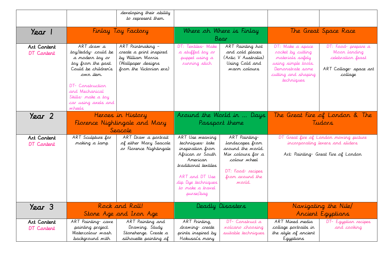|                           |                                                                                                                                                                                                            | developing their ability<br>to represent them.                                                                     |                                                                                                                                                                                         |                                                                                                                                             |                                                                                                                                           |                                                                                                                   |  |
|---------------------------|------------------------------------------------------------------------------------------------------------------------------------------------------------------------------------------------------------|--------------------------------------------------------------------------------------------------------------------|-----------------------------------------------------------------------------------------------------------------------------------------------------------------------------------------|---------------------------------------------------------------------------------------------------------------------------------------------|-------------------------------------------------------------------------------------------------------------------------------------------|-------------------------------------------------------------------------------------------------------------------|--|
| Year 1                    |                                                                                                                                                                                                            | Finlay Toy Factory                                                                                                 |                                                                                                                                                                                         | Where oh Where is Finlay<br>Bear                                                                                                            | The Great Space Race                                                                                                                      |                                                                                                                   |  |
| Art Content<br>DT Content | ART draw a<br>toy/teddy-could be<br>a modern toy or<br>toy from the past.<br>Could be children's<br>owr item.<br>DT- Construction<br>and Mechanical<br>Skills- make a toy<br>car using axels and<br>wheels | ART Printmaking -<br>create a print inspired<br>by William Morris<br>(Wallpaper designs<br>from the Victorian era) | DT: Textiles- Make<br>a stuffed toy or<br>puppet using a<br>running stich                                                                                                               | ART Painting hot<br>and cold places<br>(Artic V Australia)<br>Using Cold and<br>warn colours                                                | DT: Make a space<br>rocket by cutting<br>materials safely<br>using simple tools.<br>Demonstrate some<br>cutting and shaping<br>techniques | DT: Food- prepare a<br>Moon landing<br>celebration feast<br>ART Collage-space art<br>collage                      |  |
| Year 2                    | Heroes in History<br>Florence Nightingale and Mary<br>Seacole                                                                                                                                              |                                                                                                                    |                                                                                                                                                                                         | Around the World in  Days<br>Passport theme                                                                                                 | The Great Fire of London & The<br>Tudars                                                                                                  |                                                                                                                   |  |
| Art Content<br>DT Content | ART Sculpture for<br>making a lamp                                                                                                                                                                         | ART Draw a portrait<br>of either Mary Seacole<br>or Florence Nightingale                                           | ART Use weaving<br>techniques-take<br>inspiration from<br>African or South<br>American<br>traditional textiles<br>ART and DT Use<br>dip Dye techniques<br>to make a travel<br>purse/bag | ART Painting-<br>landscapes from<br>around the world.<br>Mix colours for a<br>colour wheel<br>DT: Food-recipes<br>from around the<br>world. |                                                                                                                                           | DT Great fire of London moving picture<br>incorporating levers and sliders<br>Art: Painting- Great Fire of London |  |
| Year 3                    |                                                                                                                                                                                                            | Rock and Roll!                                                                                                     |                                                                                                                                                                                         | Deadly Disasters                                                                                                                            |                                                                                                                                           | Navigating the Nile/                                                                                              |  |
|                           |                                                                                                                                                                                                            | Stone Age and Iron Age                                                                                             |                                                                                                                                                                                         |                                                                                                                                             |                                                                                                                                           | Ancient Egyptians                                                                                                 |  |
| Art Content<br>DT Content | ART Painting-cave<br>painting project.<br>Watercolour wash<br>background with                                                                                                                              | ART Painting and<br>Drawing. Study<br>Stonehenge. Create a<br>silhouette painting of                               | ART Printing,<br>drawing-create<br>prints inspired by<br>Hokusai's many                                                                                                                 | DT- Construct a<br><i>volcano choosing</i><br>suitable techniques                                                                           | ART Mixed media<br>collage portraits in<br>the style of ancient<br>Egyptians                                                              | DT- Egyptian recipes<br>and cooking                                                                               |  |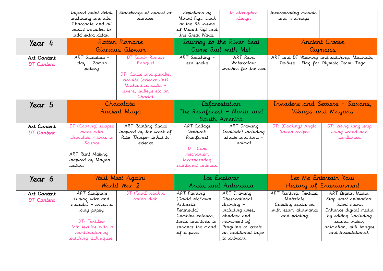|             | layered paint detail | Stonehenge at sunset or | depictions of      | to strengthen              | incorporating mosaic            |                                              |  |
|-------------|----------------------|-------------------------|--------------------|----------------------------|---------------------------------|----------------------------------------------|--|
|             | including animals.   | surrise                 | Mount Fuji. Look   | design                     | and montage                     |                                              |  |
|             | Charcoals and oil    |                         | at the 36 views    |                            |                                 |                                              |  |
|             | pastel included to   |                         | of Mount Fuji and  |                            |                                 |                                              |  |
|             | add extra detail.    |                         | the Great Wave.    |                            |                                 |                                              |  |
| Year 4      |                      | Rotten Romans           |                    | Journey to the River Sea!  |                                 | Ancient Greeks                               |  |
|             |                      | Glorious Glevun         |                    | Come Sail with Me!         | Olympics                        |                                              |  |
| Art Content | ART Sculpture -      | DT Food-Roman           | ART Sketching -    | ART Paint                  |                                 | ART and DT Weaving and stitching, Materials, |  |
| DT Content  | clay - Roman         | Banquet                 | sea shells         | Watercolour                |                                 | Textiles - Flag for Olympic Team, Toga       |  |
|             | pottery              |                         |                    | washes for the sea         |                                 |                                              |  |
|             |                      | DT- Series and parallel |                    |                            |                                 |                                              |  |
|             |                      | circuits (science link) |                    |                            |                                 |                                              |  |
|             |                      | Mechanical skills -     |                    |                            |                                 |                                              |  |
|             |                      | levers, pulleys etc on  |                    |                            |                                 |                                              |  |
|             |                      | Chariot                 |                    |                            |                                 |                                              |  |
| Year 5      |                      | Chocolate!              |                    | Deforestation              | Irvaders and Settlers - Saxons. |                                              |  |
|             | Ancient Maya         |                         |                    | The Rainforest - North and | Vikings and Mayans              |                                              |  |
|             |                      |                         |                    |                            |                                 |                                              |  |
|             |                      |                         |                    | South America              |                                 |                                              |  |
| Art Content | DT (Cooking) recipes | ART Painting Space      | ART Collage        | ART Drawing                | DT: (Cooking) Anglo             | DT: Viking long ship                         |  |
| DT Content  | made with            | inspired by the work of | (texture):         | (realistic) including      | Saxon recipes                   | using wood and                               |  |
|             | chocolate - links to | Peter Thorpe- linked to | Rainforest         | shade and tone -           |                                 | cardboard                                    |  |
|             | Science              | scierce                 |                    | animal                     |                                 |                                              |  |
|             |                      |                         | DT: Cam            |                            |                                 |                                              |  |
|             | ART Print Making     |                         | mechanism          |                            |                                 |                                              |  |
|             | inspired by Mayan    |                         | incorporating      |                            |                                 |                                              |  |
|             | culture              |                         | rainforest animals |                            |                                 |                                              |  |
|             |                      |                         |                    |                            |                                 |                                              |  |
| Year 6      |                      | We'll Meet Again!       |                    | Lce Explorer               |                                 | Let Me Entertain You!                        |  |
|             |                      | World War 2             |                    | Arctic and Antarctica      |                                 | History of Entertainment                     |  |
| Art Content | ART Sculpture        | DT (Food) cook a        | ART Painting       | ART Drawing                | ART Printing, Textiles,         | ART Digital Media:                           |  |
| DT Cantent  | (using wire and      | ration dish             | (David McEown -    | Observational              | Materials                       | Stop start animation:                        |  |
|             | moulds) – create a   |                         | Antarctic          | drawing –                  | Creating costumes               | Silent movie                                 |  |
|             | clay poppy           |                         | Peninsula)         | including lines,           | with seam allowance             | Enhance digital media                        |  |
|             |                      |                         | Combine colours.   | shadow and                 | and printing                    | by editing (including                        |  |
|             | DT-Textiles-         |                         | tones and tints to | movement of                |                                 | sound, video,                                |  |
|             |                      |                         | enhance the mood   | Penguins to create         |                                 | animation, still images                      |  |
|             | Join textiles with a |                         |                    |                            |                                 |                                              |  |
|             | combination of       |                         | of a piece.        | an additional layer        |                                 | and installations).                          |  |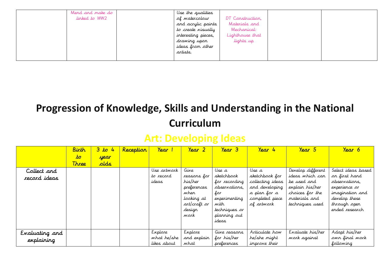| Mend and make do | Use the qualities   |                  |  |
|------------------|---------------------|------------------|--|
| linked to WW2    | of watercolour      | DT Construction, |  |
|                  | and acrylic paints  | Materials and    |  |
|                  | to create visually  | Mechanical:      |  |
|                  | interesting pieces, | Lighthouse that  |  |
|                  | drawing upon        | lights up        |  |
|                  | ideas from other    |                  |  |
|                  | artists.            |                  |  |
|                  |                     |                  |  |

#### **Art: Developing Ideas**

|                | Birth        | 3 to<br>$-4$ | Reception | Year        | $\gamma_{\text{ear}}$ 2 | Year 3        | Year 4           | Year 5            | Year 6             |
|----------------|--------------|--------------|-----------|-------------|-------------------------|---------------|------------------|-------------------|--------------------|
|                | $\bm{t}$     | year         |           |             |                         |               |                  |                   |                    |
|                | <b>Three</b> | alds         |           |             |                         |               |                  |                   |                    |
| Collect and    |              |              |           | Use artwork | Give                    | Use a         | Use a            | Develop different | Select ideas based |
| record ideas   |              |              |           | to record   | reasons for             | sketchbook    | sketchbook for   | ideas which can   | on first hand      |
|                |              |              |           | ideas       | his/her                 | for recording | collecting ideas | be used and       | observations.      |
|                |              |              |           |             | preferences             | observations, | and developing   | explain his/her   | experience or      |
|                |              |              |           |             | wher                    | for           | a plan for a     | choices for the   | imagination and    |
|                |              |              |           |             | looking at              | experimenting | completed piece  | materials and     | develop these      |
|                |              |              |           |             | art/craft or            | with          | of artwork       | techniques used   | through open       |
|                |              |              |           |             | desigr                  | techniques or |                  |                   | ended research     |
|                |              |              |           |             | work                    | planning out  |                  |                   |                    |
|                |              |              |           |             |                         | ideas         |                  |                   |                    |
|                |              |              |           |             |                         |               |                  |                   |                    |
| Evaluating and |              |              |           | Explore     | Explore                 | Give reasons  | Articulate how   | Evaluate his/her  | Adapt his/her      |
| explaining     |              |              |           | what he/she | and explain             | for his/her   | he/she might     | work against      | own final work     |
|                |              |              |           | likes about | what                    | preferences   | improve their    |                   | following          |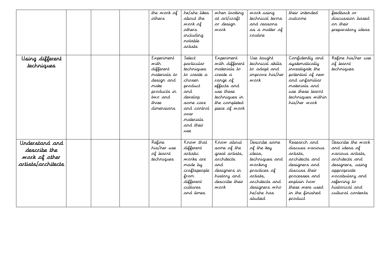|                                                                       |  | the work of<br>athers                                                                                                  | he/she likes<br>about the<br>work of<br>others<br>including<br>rotable<br>artists                                                                             | when looking<br>at art/craft<br>or design<br>work                                                                                                   | work using<br>technical terms<br>and reasons<br>as a matter of<br>routine                                                                                  | their intended<br>sutcome                                                                                                                                                        | feedback or<br>discussion based<br>on their<br>preparatory ideas                                                                                                                            |
|-----------------------------------------------------------------------|--|------------------------------------------------------------------------------------------------------------------------|---------------------------------------------------------------------------------------------------------------------------------------------------------------|-----------------------------------------------------------------------------------------------------------------------------------------------------|------------------------------------------------------------------------------------------------------------------------------------------------------------|----------------------------------------------------------------------------------------------------------------------------------------------------------------------------------|---------------------------------------------------------------------------------------------------------------------------------------------------------------------------------------------|
| Using different<br>techniques                                         |  | Experiment<br>with<br>different<br>materials to<br>design and<br>nake<br>products in<br>two and<br>three<br>dimensions | Select<br>particular<br>techniques<br>to create a<br>choser<br>product<br>and<br>develop<br>some care<br>and control<br>over<br>materials<br>and their<br>use | Experiment<br>with different<br>materials to<br>create a<br>range of<br>effects and<br>use these<br>techniques in<br>the completed<br>piece of work | Use taught<br>technical skills<br>to adapt and<br>improve his/her<br>work                                                                                  | Confidently and<br>systematically<br>investigate the<br>potential of new<br>and unfamiliar<br>materials and<br>use these learnt<br>techniques within<br>his/her work             | Refine his/her use<br>of learnt<br>techniques                                                                                                                                               |
| Understand and<br>describe the<br>work of other<br>artists/architects |  | Refine<br>his/her use<br>of learnt<br>techniques                                                                       | Krow that<br>different<br>artistic<br>works are<br>made by<br>craftspeople<br>fran<br>different<br>cultures<br>and times                                      | Know about<br>some of the<br>great artists,<br>architects<br>and<br>designers in<br>history and<br>describe their<br>wark                           | Describe some<br>of the key<br>ideas,<br>techniques and<br>working<br>practices of<br>artists,<br>architects and<br>designers who<br>he/she has<br>studied | Research and<br>discuss various<br>artists,<br>architects and<br>designers and<br>discuss their<br>processes and<br>explain how<br>these were used<br>in the finished<br>product | Describe the work<br>and ideas of<br>various artists,<br>architects and<br>designers, using<br>appropriate<br><i>voc</i> abulary and<br>referring to<br>historical and<br>cultural contexts |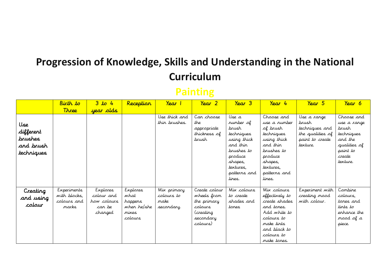#### **Painting**

|                                                        | Birth to                                            | 3 to 4                                                     | Reception                                                      | Year 1                                          | Year 2                                                                                       | Year 3                                                                                                                                          | Year 4                                                                                                                                                        | Year 5                                                                                    | Year 6                                                                                                        |
|--------------------------------------------------------|-----------------------------------------------------|------------------------------------------------------------|----------------------------------------------------------------|-------------------------------------------------|----------------------------------------------------------------------------------------------|-------------------------------------------------------------------------------------------------------------------------------------------------|---------------------------------------------------------------------------------------------------------------------------------------------------------------|-------------------------------------------------------------------------------------------|---------------------------------------------------------------------------------------------------------------|
|                                                        | Three                                               | year olds                                                  |                                                                |                                                 |                                                                                              |                                                                                                                                                 |                                                                                                                                                               |                                                                                           |                                                                                                               |
| Use<br>different<br>brushes<br>and brush<br>techniques |                                                     |                                                            |                                                                | Use thick and<br>thin brushes.                  | Can choose<br>the<br>appropriate<br>thickness of<br>brush                                    | Use a<br>rumber of<br>brush<br>techniques<br>using thick<br>and thin<br>brushes to<br>produce<br>shapes,<br>textures,<br>patterns and<br>lines. | Chaose and<br>use a rumber<br>of brush<br>techniques<br>using thick<br>and thin<br>brushes to<br>produce<br>shapes,<br>textures,<br>patterns and<br>lines.    | Use a range<br>brush<br>techniques and<br>the qualities of<br>paint to create<br>texture. | Choose and<br>use a range<br>brush<br>techniques<br>and the<br>qualities of<br>paint to<br>create<br>texture. |
| Creating<br>and using<br>colour                        | Experiments<br>with blocks,<br>colours and<br>marks | Explores<br>colour and<br>how colours<br>car be<br>changed | Explores<br>what<br>happers<br>when he/she<br>nixes<br>colours | Mix primary<br>colours to<br>make<br>secondary. | Create colour<br>wheels from<br>the primary<br>colours<br>(creating<br>secondary<br>(colours | Mix colours<br>to create<br>shades and<br>tones.                                                                                                | Mix colours<br>effectively to<br>create shades<br>and tones.<br>Add white to<br>colours to<br>make <i>t</i> ints<br>and black to<br>colours to<br>make tones. | Experiment with<br>creating mood<br>with colour.                                          | Combine<br>colours,<br>tones and<br>tints to<br>erhance the<br>mood of a<br>piece.                            |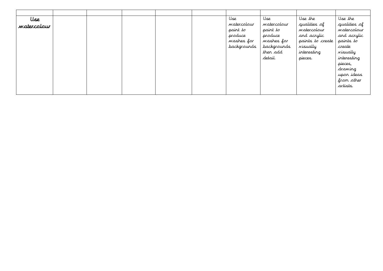| Use         |  |  | Use                | عملا               | Use the          | Use the      |
|-------------|--|--|--------------------|--------------------|------------------|--------------|
| watercolour |  |  | watercolour        | watercolour        | qualities of     | qualities of |
|             |  |  | paint to           | paint to           | watercolour      | watercolour  |
|             |  |  | produce            | produce            | and acrylic      | and acrylic  |
|             |  |  | washes for         | washes for         | paints to create | paints to    |
|             |  |  | <i>backgrounds</i> | <i>backgrounds</i> | visually         | create       |
|             |  |  |                    | then add           | interesting      | visually     |
|             |  |  |                    | detail.            | pieces.          | interesting  |
|             |  |  |                    |                    |                  | pieces,      |
|             |  |  |                    |                    |                  | drawing      |
|             |  |  |                    |                    |                  | upon ideas   |
|             |  |  |                    |                    |                  | from other   |
|             |  |  |                    |                    |                  | artists.     |
|             |  |  |                    |                    |                  |              |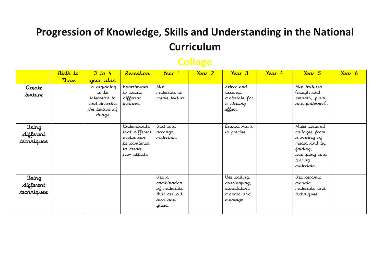#### **Collage**

|                                  | Birth to     | 3 to 4                                                                             | Reception                                                                             | Year 1                                                                     | Year 2 | $\gamma_{\text{ear}}$ 3                                                | Year 4 | Year 5                                                                                                              | Year 6 |
|----------------------------------|--------------|------------------------------------------------------------------------------------|---------------------------------------------------------------------------------------|----------------------------------------------------------------------------|--------|------------------------------------------------------------------------|--------|---------------------------------------------------------------------------------------------------------------------|--------|
|                                  | <b>Three</b> | year alds                                                                          |                                                                                       |                                                                            |        |                                                                        |        |                                                                                                                     |        |
| Create<br>texture                |              | Is beginning<br>to be<br>interested in<br>and describe<br>the texture of<br>things | Experiments<br>to create<br>different<br>textures                                     | Mix<br>materials to<br>create texture                                      |        | Select and<br>arrange<br>materials for<br>a striking<br>effect.        |        | Mix textures<br>(rough and<br>smooth, plain<br>and patterned).                                                      |        |
| Using<br>different<br>techniques |              |                                                                                    | Understands<br>that different<br>media car<br>be combined<br>to create<br>new effects | Sart and<br>arrange<br>materials.                                          |        | Ensure work<br>is precise.                                             |        | Make textured<br>collages from<br>a variety of<br>media and by<br>folding,<br>crumpling and<br>tearing<br>materials |        |
| Using<br>different<br>techniques |              |                                                                                    |                                                                                       | Use a<br>combination<br>of materials<br>that are cut,<br>tan and<br>glued. |        | Use coiling,<br>overlapping,<br>tessellation,<br>mosaic and<br>montage |        | Use ceramic<br>mosaic<br>materials and<br>techniques.                                                               |        |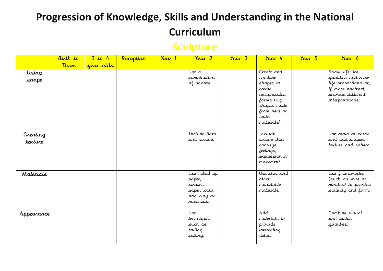## **Sculpture**

|                     | Birth to     | 3 to 4    | Reception | Year 1 | Year 2                                                                         | $\gamma_{\text{ear}}$ 3 | Year 4                                                                                                                             | Year 5 | Year 6                                                                                                                      |
|---------------------|--------------|-----------|-----------|--------|--------------------------------------------------------------------------------|-------------------------|------------------------------------------------------------------------------------------------------------------------------------|--------|-----------------------------------------------------------------------------------------------------------------------------|
|                     | <b>Three</b> | year olds |           |        |                                                                                |                         |                                                                                                                                    |        |                                                                                                                             |
| Using<br>shape      |              |           |           |        | Use a<br>combination<br>of shapes.                                             |                         | Create and<br>combine<br>shapes to<br>create<br>recognisable<br>forms (e.g.<br>shapes made<br>from nets or<br>solid<br>materials). |        | Show life-like<br>qualities and real-<br>life proportions or,<br>if more abstract,<br>provoke different<br>interpretations. |
| Creating<br>texture |              |           |           |        | Include lines<br>and texture.                                                  |                         | Include<br>texture that<br>corveys<br>feelings,<br>expression or<br>movement.                                                      |        | Use tools to carve<br>and add shapes,<br>texture and pattern.                                                               |
| Materials           |              |           |           |        | Use rolled up<br>paper,<br>straws,<br>paper, card<br>and clay as<br>materials. |                         | Use clay and<br>other<br>mouldable<br>materials.                                                                                   |        | Use frameworks<br>(such as wire or<br>moulds) to provide<br>stability and form.                                             |
| Appearance          |              |           |           |        | Use<br>techniques<br>such as<br>rolling,<br>cutting,                           |                         | Add<br>materials to<br>provide<br>interesting<br>detail.                                                                           |        | Combine visual<br>and tactile<br>qualities.                                                                                 |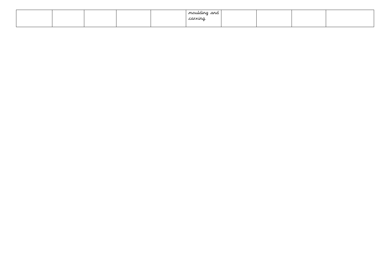|  |  | mauldina<br>and |  |  |
|--|--|-----------------|--|--|
|  |  | carvina         |  |  |
|  |  |                 |  |  |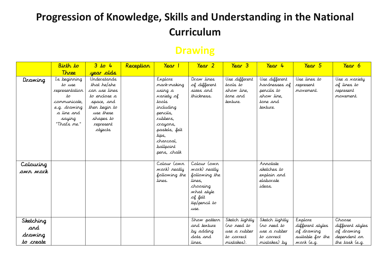#### **Drawing**

|                             | Birth to                                                                                                               | 3 to 4                                                                                                                                       | Reception | Year 1                                                                                                                                                                       | Year 2                                                                                                               | Year 3                                                          | Year 4                                                                             | Year 5                                    | Year 6                                                 |
|-----------------------------|------------------------------------------------------------------------------------------------------------------------|----------------------------------------------------------------------------------------------------------------------------------------------|-----------|------------------------------------------------------------------------------------------------------------------------------------------------------------------------------|----------------------------------------------------------------------------------------------------------------------|-----------------------------------------------------------------|------------------------------------------------------------------------------------|-------------------------------------------|--------------------------------------------------------|
|                             | Three                                                                                                                  | year alds                                                                                                                                    |           |                                                                                                                                                                              |                                                                                                                      |                                                                 |                                                                                    |                                           |                                                        |
| Drawing                     | Is beginning<br>to use<br>representation<br>to<br>communicate,<br>e.g. drawing<br>a line and<br>saying<br>"That's me." | Understands<br>that he/she<br>can use lines<br>to enclose a<br>space, and<br>then begin to<br>use these<br>shapes to<br>represent<br>objects |           | Explore<br>mark-making<br>using a<br>variety of<br>toots<br>including<br>pencils,<br>rubbers,<br>crayons,<br>pastels, felt<br>tips,<br>charcoal,<br>ballpoint<br>pens, chalk | Draw lines<br>of different<br>sizes and<br>thickness.                                                                | Use different<br>tools to<br>show line,<br>tone and<br>texture. | Use different<br>hardnesses of<br>pencils to<br>show line,<br>tone and<br>texture. | Use lines to<br>represent<br>movement.    | Use a variety<br>of lines to<br>represent<br>movement. |
| Colouring<br>owr work       |                                                                                                                        |                                                                                                                                              |           | Colour (own<br>work) neatly<br>following the<br>lines.                                                                                                                       | Colour (own<br>work) neatly<br>following the<br>lines,<br>choosing<br>what style<br>of felt<br>tip/pencil to<br>use. |                                                                 | Annotate<br>sketches to<br>explain and<br>elaborate<br>ideas.                      |                                           |                                                        |
| Sketching<br>and<br>drawing |                                                                                                                        |                                                                                                                                              |           |                                                                                                                                                                              | Show pattern<br>and texture<br>by adding                                                                             | Sketch lightly<br>(no need to<br>use a rubber                   | Sketch lightly<br>(no need to<br>use a rubber                                      | Explore<br>different styles<br>of drawing | Choose<br>different styles<br>of drawing               |
| to create                   |                                                                                                                        |                                                                                                                                              |           |                                                                                                                                                                              | dots and<br>lines.                                                                                                   | to correct<br>mistakes).                                        | to correct<br>mistakes) by                                                         | suitable for the<br>work (e.g.            | dependent on<br>the task (e.g.                         |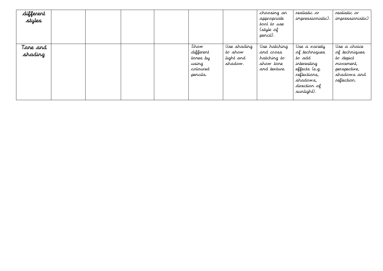| different<br>styles |  |  |                                                                |                                                | choosing an<br>appropriate<br>tool to use<br>(style of<br>pencil).    | realistic or<br>impressionistic)                                                                                                   | realistic or<br>impressionistic)                                                                      |
|---------------------|--|--|----------------------------------------------------------------|------------------------------------------------|-----------------------------------------------------------------------|------------------------------------------------------------------------------------------------------------------------------------|-------------------------------------------------------------------------------------------------------|
| Tone and<br>shading |  |  | Show<br>different<br>tones by<br>using<br>coloured<br>pencils. | Use shading<br>to show<br>light and<br>shadow. | Use hatching<br>and cross<br>hatching to<br>show tone<br>and texture. | Use a variety<br>of techniques<br>to add<br>interesting<br>effects (e.g.<br>reflections,<br>shadows,<br>direction of<br>sunlight). | Use a choice<br>of techniques<br>to depict<br>movement,<br>perspective,<br>shadows and<br>reflection. |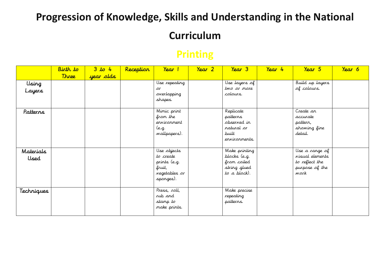## **Curriculum**

### **Printing**

| Birth to     | 3 to 4    | Reception | Year 1        | Year 2                                                                                                                                                                   | $\gamma_{\text{ear}}$ 3 | Year 4                                                                                                                                            | Year 5          | Year 6                                                                                              |
|--------------|-----------|-----------|---------------|--------------------------------------------------------------------------------------------------------------------------------------------------------------------------|-------------------------|---------------------------------------------------------------------------------------------------------------------------------------------------|-----------------|-----------------------------------------------------------------------------------------------------|
| <b>Three</b> | year olds |           |               |                                                                                                                                                                          |                         |                                                                                                                                                   |                 |                                                                                                     |
|              |           |           | Use repeating |                                                                                                                                                                          | Use layers of           |                                                                                                                                                   | Build up layers |                                                                                                     |
|              |           |           | лa            |                                                                                                                                                                          |                         |                                                                                                                                                   |                 |                                                                                                     |
|              |           |           |               |                                                                                                                                                                          |                         |                                                                                                                                                   |                 |                                                                                                     |
|              |           |           |               |                                                                                                                                                                          |                         |                                                                                                                                                   |                 |                                                                                                     |
|              |           |           | Mimic print   |                                                                                                                                                                          | Replicate               |                                                                                                                                                   | Create an       |                                                                                                     |
|              |           |           | from the      |                                                                                                                                                                          | patterns                |                                                                                                                                                   | accurate        |                                                                                                     |
|              |           |           | ervironment   |                                                                                                                                                                          | observed in             |                                                                                                                                                   | pattern,        |                                                                                                     |
|              |           |           | (e.g.         |                                                                                                                                                                          | natural <i>or</i>       |                                                                                                                                                   | showing fine    |                                                                                                     |
|              |           |           | wallpapers).  |                                                                                                                                                                          | built                   |                                                                                                                                                   | detail.         |                                                                                                     |
|              |           |           |               |                                                                                                                                                                          | environments.           |                                                                                                                                                   |                 |                                                                                                     |
|              |           |           |               |                                                                                                                                                                          |                         |                                                                                                                                                   |                 |                                                                                                     |
|              |           |           |               |                                                                                                                                                                          |                         |                                                                                                                                                   |                 |                                                                                                     |
|              |           |           |               |                                                                                                                                                                          |                         |                                                                                                                                                   |                 |                                                                                                     |
|              |           |           |               |                                                                                                                                                                          |                         |                                                                                                                                                   |                 |                                                                                                     |
|              |           |           |               |                                                                                                                                                                          |                         |                                                                                                                                                   |                 |                                                                                                     |
|              |           |           |               |                                                                                                                                                                          |                         |                                                                                                                                                   |                 |                                                                                                     |
|              |           |           |               |                                                                                                                                                                          |                         |                                                                                                                                                   |                 |                                                                                                     |
|              |           |           |               |                                                                                                                                                                          |                         |                                                                                                                                                   |                 |                                                                                                     |
|              |           |           |               |                                                                                                                                                                          |                         |                                                                                                                                                   |                 |                                                                                                     |
|              |           |           |               |                                                                                                                                                                          |                         |                                                                                                                                                   |                 |                                                                                                     |
|              |           |           |               |                                                                                                                                                                          |                         |                                                                                                                                                   |                 |                                                                                                     |
|              |           |           |               |                                                                                                                                                                          |                         |                                                                                                                                                   |                 |                                                                                                     |
|              |           |           |               | overlapping<br>shapes.<br>Use objects<br>to create<br>prints (e.g.<br>fruit,<br><i>Negetables or</i><br>spanges).<br>Press, roll,<br>rub and<br>stamp to<br>make prints. |                         | two or more<br>colours.<br>Make printing<br>blocks (e.g.<br>from coiled<br>string glued<br>to a block).<br>Make precise<br>repeating<br>patterns. |                 | of colours.<br>Use a range of<br><i>visual elements</i><br>to reflect the<br>purpose of the<br>work |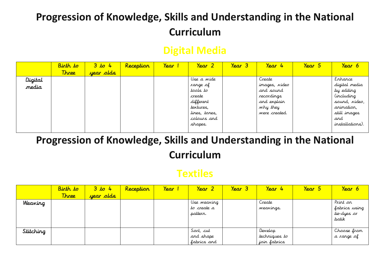## **Digital Media**

|         | Birth to     | 3 to 4    | Reception | Year | Year 2        | Year 3 | Year 4        | Year 5 | Year 6            |
|---------|--------------|-----------|-----------|------|---------------|--------|---------------|--------|-------------------|
|         | <b>Three</b> | year olds |           |      |               |        |               |        |                   |
| Digital |              |           |           |      | Use a wide    |        | Create        |        | Enhance           |
| nedia   |              |           |           |      | range of      |        | images, video |        | digital media     |
|         |              |           |           |      | tools to      |        | and sound     |        | by editing        |
|         |              |           |           |      | create        |        | recordings    |        | <i>(including</i> |
|         |              |           |           |      | different     |        | and explain   |        | sound, video,     |
|         |              |           |           |      | textures,     |        | why they      |        | animation,        |
|         |              |           |           |      | lines, tones, |        | were created. |        | still images      |
|         |              |           |           |      | colours and   |        |               |        | and               |
|         |              |           |           |      | shapes.       |        |               |        | installations).   |
|         |              |           |           |      |               |        |               |        |                   |

## **Progression of Knowledge, Skills and Understanding in the National Curriculum**

#### **Textiles**

|           | Birth to     | 3 to 4                  | Reception | Year | Year 2      | Year 3 | Year<br>$\frac{1}{4}$ | Year 5 | Year 6        |
|-----------|--------------|-------------------------|-----------|------|-------------|--------|-----------------------|--------|---------------|
|           | <b>Three</b> | <mark>year olds.</mark> |           |      |             |        |                       |        |               |
| Weaving   |              |                         |           |      | Use weaving |        | Create                |        | Print on      |
|           |              |                         |           |      | to create a |        | weavings.             |        | fabrics using |
|           |              |                         |           |      | pattern.    |        |                       |        | tie-dyes or   |
|           |              |                         |           |      |             |        |                       |        | patik         |
|           |              |                         |           |      |             |        |                       |        |               |
| Stitching |              |                         |           |      | Sort, cut   |        | Develop               |        | Chaose from   |
|           |              |                         |           |      | and shape   |        | techniques to         |        | a range of    |
|           |              |                         |           |      | fabrics and |        | join fabrics          |        |               |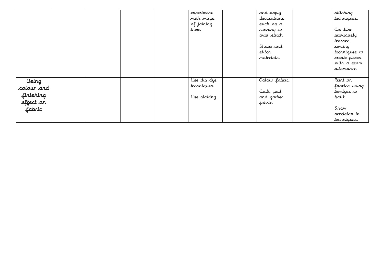|                                                         |  |  | experiment<br>with ways<br>of joining<br>them | and apply<br>decorations<br>such as a<br>running or<br>over stitch<br>Shape and<br>stitch<br>materials. | stitching<br>techniques.<br>Combine<br>previously<br>learned<br>sewing<br>techniques to<br>create pieces<br>with a seam<br>allowance. |
|---------------------------------------------------------|--|--|-----------------------------------------------|---------------------------------------------------------------------------------------------------------|---------------------------------------------------------------------------------------------------------------------------------------|
| Using<br>colour and<br>finishing<br>effect on<br>fabric |  |  | Use dip dye<br>techniques.<br>Use plaiting.   | Colour fabric.<br>Quilt, pad<br>and gather<br>fabric.                                                   | Print on<br>fabrics using<br>tie-dyes or<br>batik<br>Show<br>precision in<br>techniques.                                              |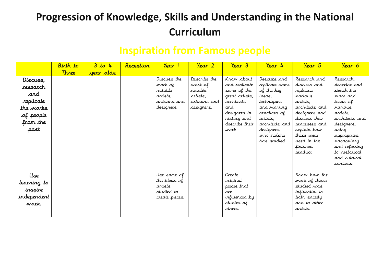|  |  | <b>Inspiration from Famous people</b> |  |  |
|--|--|---------------------------------------|--|--|
|--|--|---------------------------------------|--|--|

|                                                                                                      | Birth to     | 3 to 4    | Reception | Year 1                                                                      | Year 2                                                                       | $\gamma_{\text{ear}}$ 3                                                                                                                    | Year 4                                                                                                                                                                      | Year 5                                                                                                                                                                                                  | Year 6                                                                                                                                                                                                                             |
|------------------------------------------------------------------------------------------------------|--------------|-----------|-----------|-----------------------------------------------------------------------------|------------------------------------------------------------------------------|--------------------------------------------------------------------------------------------------------------------------------------------|-----------------------------------------------------------------------------------------------------------------------------------------------------------------------------|---------------------------------------------------------------------------------------------------------------------------------------------------------------------------------------------------------|------------------------------------------------------------------------------------------------------------------------------------------------------------------------------------------------------------------------------------|
|                                                                                                      | <b>Three</b> | year olds |           |                                                                             |                                                                              |                                                                                                                                            |                                                                                                                                                                             |                                                                                                                                                                                                         |                                                                                                                                                                                                                                    |
| Discuss,<br><i>research</i><br>and<br>replicate<br>the <i>works</i><br>of people<br>from the<br>past |              |           |           | Discuss the<br>work of<br>rotable<br>artists,<br>artisans and<br>designers. | Describe the<br>work of<br>rotable<br>artists,<br>artisans and<br>designers. | Know about<br>and replicate<br>some of the<br>great artists,<br>architects<br>and<br>designers in<br>history and<br>describe their<br>work | Describe and<br>replicate some<br>of the key<br>ideas.<br>techniques<br>and warking<br>practices of<br>artists,<br>architects and<br>designers<br>who he/she<br>has studied | Research and<br>discuss and<br>replicate<br>various<br>artists,<br>architects and<br>designers and<br>discuss their<br>processes and<br>explain how<br>these were<br>used in the<br>finished<br>product | Research,<br>describe and<br>sketch the<br>work and<br>ideas of<br>various<br>artists,<br>architects and<br>designers,<br>using<br>appropriate<br><i>voc</i> abulary<br>and referring<br>to historical<br>and cultural<br>contexts |
| Use<br>learning to<br>inspire<br>independent<br>work.                                                |              |           |           | Use same of<br>the ideas of<br>artists<br>studied to<br>create pieces.      |                                                                              | Create<br>siginal<br>pieces that<br>are<br>influenced by<br>studies of<br>others                                                           |                                                                                                                                                                             | Show how the<br>work of those<br>studied was<br>influential in<br>both society<br>and to other<br>artists.                                                                                              |                                                                                                                                                                                                                                    |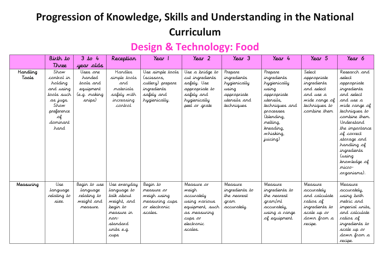## **Design & Technology: Food**

|                          | Birth to                                                                                                             | $3$ to $4$                                                             | Reception                                                                                                                    | Year 1                                                                                           | Year 2                                                                                                                    | $\gamma_{\text{ear}}$ 3                                                                      | Year 4                                                                                                                                                                     | Year 5                                                                                                            | Year 6                                                                                                                                                                                                                                                                                  |
|--------------------------|----------------------------------------------------------------------------------------------------------------------|------------------------------------------------------------------------|------------------------------------------------------------------------------------------------------------------------------|--------------------------------------------------------------------------------------------------|---------------------------------------------------------------------------------------------------------------------------|----------------------------------------------------------------------------------------------|----------------------------------------------------------------------------------------------------------------------------------------------------------------------------|-------------------------------------------------------------------------------------------------------------------|-----------------------------------------------------------------------------------------------------------------------------------------------------------------------------------------------------------------------------------------------------------------------------------------|
|                          | Three                                                                                                                | year olds                                                              |                                                                                                                              |                                                                                                  |                                                                                                                           |                                                                                              |                                                                                                                                                                            |                                                                                                                   |                                                                                                                                                                                                                                                                                         |
| <b>Handling</b><br>Taals | Show<br>control in<br>holding<br>and using<br>tools such<br>as jugs.<br>Show<br>preference<br>лf<br>dominant<br>hand | Uses one<br>handed<br>tools and<br>equipment<br>(e.g. making<br>snips) | Handles<br>simple tools<br>and<br>materials<br>safely with<br>increasing<br>cortrol                                          | Use simple tools<br>(scissors,<br>cutlery) prepare<br>ingredients<br>safely and<br>hygienically. | Use a bridge to<br>cut ingredients<br>safely. Use<br>appropriate to<br>safely and<br>hygienically<br>peel or grate        | Prepare<br>ingredients<br>hygienically<br>using<br>appropriate<br>utensils and<br>techniques | Prepare<br>ingredients<br>hygienically<br>using<br>appropriate<br>utensils,<br>techniques and<br>processes<br>(blending,<br>melting,<br>kreading,<br>whisking,<br>juicing) | Select<br>appropriate<br>ingredients<br>and select<br>and use a<br>wide range of<br>techniques to<br>combine them | Research and<br>select<br>appropriate<br>ingredients<br>and select<br>and use a<br>wide range of<br>techniques to<br>combine them.<br>Understand<br>the importance<br>of correct<br>storage and<br>handling of<br><i>ingredients</i><br>using)<br>knowledge of<br>micro-<br>organisms). |
| Measuring                | Use<br>language<br>relating to<br>size.                                                                              | Begin to use<br>language<br>relating to<br>weight and<br>measure.      | Use everyday<br>language to<br>talk about<br>weight, and<br>begin to<br>measure in<br>ron-<br>standard<br>units e.g.<br>cups | Begin to<br>measure or<br>weigh using<br>measuring cups<br>or electronic<br>scales.              | Measure or<br>weigh<br>accurately<br>using various<br>equipment, such<br>as measuring<br>cups or<br>electronic<br>scales. | Measure<br>ingredients to<br>the nearest<br>gram<br>accurately.                              | Measure<br>ingredients to<br>the nearest<br>gram/ml<br>accurately,<br>using a range<br>of equipment.                                                                       | Measure<br>accurately<br>and calculate<br>ratios of<br>ingredients to<br>scale up or<br>down from a<br>recipe.    | Measure<br>accurately,<br>using both<br>metric and<br>imperial units,<br>and calculate<br>ratios of<br>ingredients to<br>scale up or<br>down from a<br>recipe.                                                                                                                          |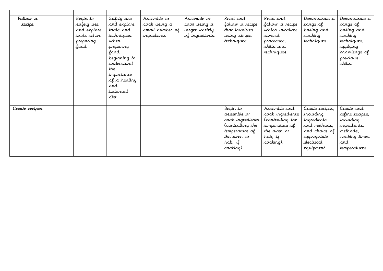| Follow a<br>recipe | Begin to<br>safely use<br>and explore<br>tools when<br>preparing<br>food. | Safely use<br>and explore<br>tools and<br>techniques<br>wher<br>preparing<br>food,<br>beginning to<br>understand<br>the<br>importance<br>of a healthy<br>and<br>palanced<br>diet. | Assemble or<br>cook using a<br>small number of<br>ingredients | Assemble or<br>cook using a<br>larger variety<br>of ingredients | Read and<br>follow a recipe<br>that involves<br>using simple<br>techniques.                                                     | Read and<br>follow a recipe<br>which involves<br>several<br>processes,<br>skills and<br>techniques.           | Demonstrate a<br>range of<br>baking and<br>cooking<br>techniques.                                                       | Demonstrate a<br>range of<br>baking and<br>cooking<br>techniques,<br>applying<br>knowledge of<br>previous<br>skills. |
|--------------------|---------------------------------------------------------------------------|-----------------------------------------------------------------------------------------------------------------------------------------------------------------------------------|---------------------------------------------------------------|-----------------------------------------------------------------|---------------------------------------------------------------------------------------------------------------------------------|---------------------------------------------------------------------------------------------------------------|-------------------------------------------------------------------------------------------------------------------------|----------------------------------------------------------------------------------------------------------------------|
| Create recipes     |                                                                           |                                                                                                                                                                                   |                                                               |                                                                 | Begin to<br>assemble <i>or</i><br>cook ingredients<br>(controlling the<br>temperature of<br>the over or<br>hob, if<br>cooking). | Assemble and<br>cook ingredients<br>(controlling the<br>temperature of<br>the over or<br>hob, if<br>cooking). | Create recipes,<br>including<br>ingredients<br>and methods,<br>and choice of<br>appropriate<br>electrical<br>equipment. | Create and<br>refine recipes,<br>including<br>ingredients,<br>methods,<br>cooking times<br>and<br>temperatures.      |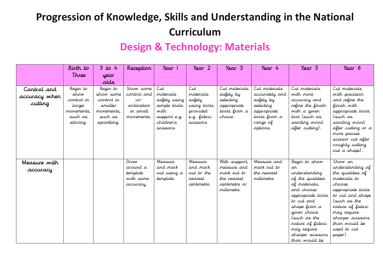#### **Design & Technology: Materials**

|               | Birth to           | $3$ to 4              | Reception                           | Year 1                       | Year 2                 | $\gamma_{\text{ear}}$ 3      | Year 4                     | Year 5                            | Year 6                               |
|---------------|--------------------|-----------------------|-------------------------------------|------------------------------|------------------------|------------------------------|----------------------------|-----------------------------------|--------------------------------------|
|               | Three              | year                  |                                     |                              |                        |                              |                            |                                   |                                      |
|               |                    | alds                  |                                     |                              |                        |                              |                            |                                   |                                      |
| Control and   | Begin to           | Begin to              | Show some                           | Cut                          | Cut                    | Cut materials                | Cut materials              | Cut materials                     | Cut materials                        |
| accuracy when | show<br>control in | show some             | control and                         | materials                    | materials              | safely by                    | accurately and             | with more                         | with precision                       |
| cutting       | larger             | cartral in<br>smaller | $\mathcal{L}\sigma$ -<br>ordination | safely using<br>simple tools | safely<br>using tools  | selecting<br>appropriate     | safely by<br>selecting     | accuracy and<br>refine the finish | and refine the<br>finish with        |
|               | movements.         | movements.            | in small                            | with                         | provided               | tools from a                 | appropriate                | with a giver                      | appropriate tools                    |
|               | such as            | such as               | movements.                          | support e.g.                 | e.g. fabric            | choice.                      | tools from a               | tool (such as                     | (such as                             |
|               | stirring.          | sprinkling.           |                                     | children's                   | scissors               |                              | range of                   | sanding wood                      | sanding wood                         |
|               |                    |                       |                                     | scissors                     |                        |                              | options.                   | after cutting).                   | after cutting or a                   |
|               |                    |                       |                                     |                              |                        |                              |                            |                                   | more precise                         |
|               |                    |                       |                                     |                              |                        |                              |                            |                                   | scissor cut after<br>roughly cutting |
|               |                    |                       |                                     |                              |                        |                              |                            |                                   | out a shape).                        |
|               |                    |                       |                                     |                              |                        |                              |                            |                                   |                                      |
| Measure with  |                    |                       | Draw                                | Measure                      | Measure                | With support,                | Measure and                | Begin to show                     | Show an                              |
| accuracy      |                    |                       | around a                            | and mark                     | and mark               | measure and                  | mark out to                | an.                               | understanding of                     |
|               |                    |                       | template<br>with some               | out using a                  | out to the             | mark out to                  | the nearest<br>millimetre. | understanding                     | the qualities of<br>materials to     |
|               |                    |                       | accuracy.                           | template.                    | rearest<br>centimetre. | the rearest<br>centimetre or |                            | of the qualities<br>of materials, | choose                               |
|               |                    |                       |                                     |                              |                        | millimetre.                  |                            | and choose                        | appropriate tools                    |
|               |                    |                       |                                     |                              |                        |                              |                            | appropriate tools                 | to cut and shape                     |
|               |                    |                       |                                     |                              |                        |                              |                            | to cut and                        | (such as the                         |
|               |                    |                       |                                     |                              |                        |                              |                            | shape from a                      | nature of fabric                     |
|               |                    |                       |                                     |                              |                        |                              |                            | giver choice                      | may require                          |
|               |                    |                       |                                     |                              |                        |                              |                            | (such as the<br>nature of fabric  | sharper scissors<br>than would be    |
|               |                    |                       |                                     |                              |                        |                              |                            | may require                       | used to cut                          |
|               |                    |                       |                                     |                              |                        |                              |                            | sharper scissors                  | paper).                              |
|               |                    |                       |                                     |                              |                        |                              |                            | than would be                     |                                      |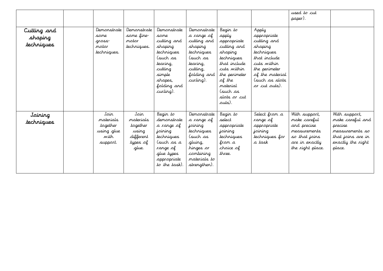|                                      |                                                                 |                                                                          |                                                                                                                                                 |                                                                                                                                     |                                                                                                                                                                                      |                                                                                                                                                                    | used to cut<br>paper).                                                                                                     |                                                                                                                     |
|--------------------------------------|-----------------------------------------------------------------|--------------------------------------------------------------------------|-------------------------------------------------------------------------------------------------------------------------------------------------|-------------------------------------------------------------------------------------------------------------------------------------|--------------------------------------------------------------------------------------------------------------------------------------------------------------------------------------|--------------------------------------------------------------------------------------------------------------------------------------------------------------------|----------------------------------------------------------------------------------------------------------------------------|---------------------------------------------------------------------------------------------------------------------|
| Cutting and<br>shaping<br>techniques | Demonstrate<br>same<br>gross-<br>notor<br>techniques.           | Demonstrate<br>some fine-<br>notor<br>techniques.                        | Demonstrate<br>same<br>cutting and<br>shaping<br>techniques<br>(such as<br>tearing,<br>cutting<br>simple<br>shapes,<br>folding and<br>curling). | Demonstrate<br>a range of<br>cutting and<br>shaping<br>techniques<br>(such as<br>tearing,<br>cutting,<br>folding and<br>curling).   | Begin to<br>apply<br>appropriate<br>cutting and<br>shaping<br>techniques<br>that include<br>cuts within<br>the perimeter<br>of the<br>material<br>(such as<br>slots or cut<br>outs). | Apply<br>appropriate<br>cutting and<br>shaping<br>techniques<br>that include<br>cuts within<br>the perimeter<br>of the material<br>(such as slots<br>or cut outs). |                                                                                                                            |                                                                                                                     |
| Joining<br>techniques                | Join<br>materials<br>together<br>using glue<br>with<br>support. | Join<br>materials<br>together<br>using<br>different<br>types of<br>glue. | Begin to<br>demonstrate<br>a range of<br>joining<br>techniques<br>(such as a<br>range of<br>glue types<br>appropriate<br>to the task).          | Demonstrate<br>a range of<br>joining<br>techniques<br>(such as<br>gluing,<br>hinges or<br>combining<br>materials to<br>strengthen). | Begin to<br>select<br>appropriate<br>joining<br>techniques<br>from a<br>choice of<br>three.                                                                                          | Select from a<br>range of<br>appropriate<br>joining<br>techniques for<br>a task                                                                                    | With support,<br>make careful<br>and precise<br><i>measurements</i><br>so that joins<br>are in exactly<br>the right place. | With support,<br>make careful and<br>precise<br>measurements so<br>that joins are in<br>exactly the right<br>place. |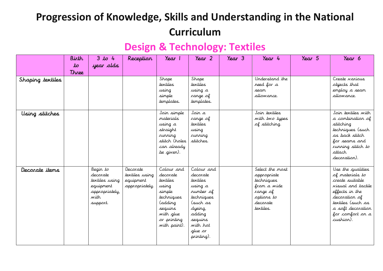## **Design & Technology: Textiles**

|                  | Birth         | $3$ to 4                                                                                  | Reception                                                 | Year 1                                                                                                                                | $\gamma_{\text{ear}}$ 2                                                                                                                                   | Year <sub>3</sub> | Year 4                                                                                                                | Year 5 | Year 6                                                                                                                                                                                      |
|------------------|---------------|-------------------------------------------------------------------------------------------|-----------------------------------------------------------|---------------------------------------------------------------------------------------------------------------------------------------|-----------------------------------------------------------------------------------------------------------------------------------------------------------|-------------------|-----------------------------------------------------------------------------------------------------------------------|--------|---------------------------------------------------------------------------------------------------------------------------------------------------------------------------------------------|
|                  | $\mathcal{L}$ | year olds                                                                                 |                                                           |                                                                                                                                       |                                                                                                                                                           |                   |                                                                                                                       |        |                                                                                                                                                                                             |
|                  | Three         |                                                                                           |                                                           |                                                                                                                                       |                                                                                                                                                           |                   |                                                                                                                       |        |                                                                                                                                                                                             |
| Shaping textiles |               |                                                                                           |                                                           | Shape<br>textiles<br>using<br>simple<br>templates.                                                                                    | Shape<br>textiles<br>using a<br>range of<br>templates.                                                                                                    |                   | Understand the<br>need for a<br>seam<br>allowance.                                                                    |        | Create <i>narious</i><br>objects that<br>employ a seam<br>allowance.                                                                                                                        |
| Using stitches   |               |                                                                                           |                                                           | Join simple<br>materials<br>using a<br>straight<br>running<br>stitch (holes<br>can already<br>be given).                              | Joir a<br>range of<br>textiles<br>using<br>running<br>stitches.                                                                                           |                   | Join textiles<br>with two types<br>of stitching.                                                                      |        | Join textiles with<br>a combination of<br>stitching<br>techniques (such<br>as back stitch<br>for seams and<br>running stitch to<br>attach<br>decoration).                                   |
| Decorate items   |               | Begin to<br>decorate<br>textiles using<br>equipment<br>appropriately,<br>with<br>support. | Decorate<br>textiles using<br>equipment<br>appropriately. | Colour and<br>decorate<br>textiles<br>using<br>simple<br>techniques<br>(adding<br>sequins<br>with glue<br>or printing<br>with paint). | Colour and<br>decorate<br>textiles<br>using a<br>rumber of<br>techniques<br>(such as<br>dyeing,<br>adding<br>sequins<br>with hot<br>glue or<br>printing). |                   | Select the most<br>appropriate<br><i>techniques</i><br>from a wide<br>range of<br>options to<br>decorate<br>textiles. |        | Use the qualities<br>of materials to<br>create suitable<br>visual and tactile<br>effects in the<br>decoration of<br>textiles (such as<br>a soft decoration<br>for comfort on a<br>cushion). |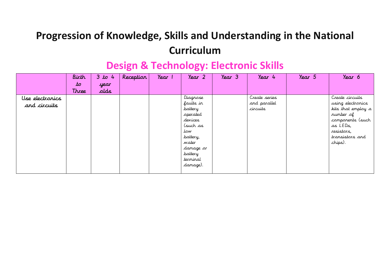|                 | Birth | 3 to 4 | Reception | Year 1 | Year 2    | Year 3 | Year 4        | Year 5 | Year 6             |
|-----------------|-------|--------|-----------|--------|-----------|--------|---------------|--------|--------------------|
|                 | to    | year   |           |        |           |        |               |        |                    |
|                 | Three | alds   |           |        |           |        |               |        |                    |
| Use electronics |       |        |           |        | Diagrose  |        | Create series |        | Create circuits    |
| and circuits    |       |        |           |        | faults in |        | and parallel  |        | using electronics  |
|                 |       |        |           |        | battery   |        | circuits      |        | kits that employ a |
|                 |       |        |           |        | operated  |        |               |        | rumber of          |
|                 |       |        |           |        | devices   |        |               |        | components (such   |
|                 |       |        |           |        | (such as  |        |               |        | as LEDs,           |
|                 |       |        |           |        | tow       |        |               |        | resistors,         |
|                 |       |        |           |        | battery,  |        |               |        | transistors and    |
|                 |       |        |           |        | water     |        |               |        | chips).            |
|                 |       |        |           |        | damage or |        |               |        |                    |
|                 |       |        |           |        | battery   |        |               |        |                    |
|                 |       |        |           |        | terminal  |        |               |        |                    |
|                 |       |        |           |        | damage).  |        |               |        |                    |
|                 |       |        |           |        |           |        |               |        |                    |

## **Design & Technology: Electronic Skills**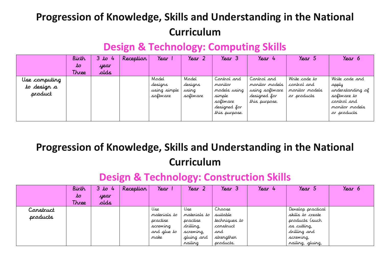## **Design & Technology: Computing Skills**

|                                         | Birth | $3 \text{ to}$<br>$\frac{1}{2}$ | Reception | Year                                         | Year 2                                | Year 3                                                                                        | Year 4                                                                           | Year 5                                                        | Year 6                                                                                                     |
|-----------------------------------------|-------|---------------------------------|-----------|----------------------------------------------|---------------------------------------|-----------------------------------------------------------------------------------------------|----------------------------------------------------------------------------------|---------------------------------------------------------------|------------------------------------------------------------------------------------------------------------|
|                                         | to    | year                            |           |                                              |                                       |                                                                                               |                                                                                  |                                                               |                                                                                                            |
|                                         | Three | alds                            |           |                                              |                                       |                                                                                               |                                                                                  |                                                               |                                                                                                            |
| Use camputing<br>to design a<br>product |       |                                 |           | Model<br>designs<br>using simple<br>software | Model<br>designs<br>using<br>software | Control and<br>maritar<br>models using<br>simple<br>software<br>designed for<br>this purpose. | Cartral and<br>maritar madels<br>using software<br>designed for<br>this purpose. | Write code to<br>cartral and<br>maritar madels<br>or products | Write code and<br>apply<br>understanding of<br>software to<br>control and<br>monitor models<br>or products |

**Progression of Knowledge, Skills and Understanding in the National Curriculum** 

## **Design & Technology: Construction Skills**

|           | Birth        | 3 to 4 | Reception | Year         | Year 2       | $\gamma_{\text{ear}}$ 3 | Year 4 | Year 5            | Year 6 |
|-----------|--------------|--------|-----------|--------------|--------------|-------------------------|--------|-------------------|--------|
|           | to           | year   |           |              |              |                         |        |                   |        |
|           | <b>Three</b> | alds   |           |              |              |                         |        |                   |        |
| Construct |              |        |           | Use          | Use          | Chaose                  |        | Develop practical |        |
| products  |              |        |           | materials to | materials to | suitable                |        | skills to create  |        |
|           |              |        |           | practise     | practise     | techniques to           |        | products (such    |        |
|           |              |        |           | screwing     | drilling,    | construct               |        | as cutting,       |        |
|           |              |        |           | and glue to  | screwing,    | and                     |        | drilling and      |        |
|           |              |        |           | make         | gluing and   | strengthen              |        | screwing,         |        |
|           |              |        |           |              | railing      | products.               |        | nailing, gluing,  |        |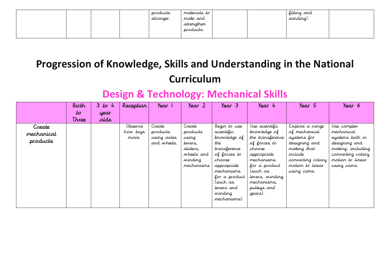|  | products<br>stronger. | materials to<br>make and<br>strengthen<br>products. | filling and<br>I sanding). |  |
|--|-----------------------|-----------------------------------------------------|----------------------------|--|
|  |                       |                                                     |                            |  |

## **Design & Technology: Mechanical Skills**

|            | Birth | 3 to 4 | Reception | Year        | Year 2       | Year 3        | Year 4           | Year 5            | Year 6            |
|------------|-------|--------|-----------|-------------|--------------|---------------|------------------|-------------------|-------------------|
|            | to    | year   |           |             |              |               |                  |                   |                   |
|            | Three | alds   |           |             |              |               |                  |                   |                   |
| Create     |       |        | Observe   | Create      | Create       | Begin to use  | Use scientific   | Explore a range   | Use complex       |
| mechanical |       |        | how toys  | products    | products     | scientific    | knowledge of     | of mechanical     | mechanical        |
|            |       |        | move.     | using axles | using        | knowledge of  | the transference | systems for       | systems both in   |
| products   |       |        |           | and wheels. | levers,      | the           | of forces to     | designing and     | designing and     |
|            |       |        |           |             | sliders,     | transference  | chaose           | making that       | making, including |
|            |       |        |           |             | wheels and   | of forces to  | appropriate      | include           | converting rotary |
|            |       |        |           |             | winding      | chaose        | mechanisms       | converting rotary | motion to linear  |
|            |       |        |           |             | mechanisms l | appropriate   | for a product    | motion to linear  | using cams.       |
|            |       |        |           |             |              | mechanisms    | (such as         | using cams.       |                   |
|            |       |        |           |             |              | for a product | levers, winding  |                   |                   |
|            |       |        |           |             |              | (such as      | mechanisms,      |                   |                   |
|            |       |        |           |             |              | levers and    | pulleys and      |                   |                   |
|            |       |        |           |             |              | winding       | .gears).         |                   |                   |
|            |       |        |           |             |              | mechanisms).  |                  |                   |                   |
|            |       |        |           |             |              |               |                  |                   |                   |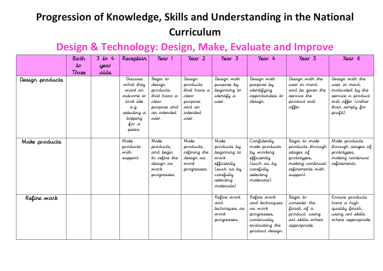#### **Design & Technology: Design, Make, Evaluate and Improve**

|                 | Birth                  | $3$ to 4     | Reception                                                                                                       | Year 1                                                                                        | Year <sub>2</sub>                                                                    | Year 3                                                                                                             | Year 4                                                                                                            | Year 5                                                                                                            | Year 6                                                                                                                         |
|-----------------|------------------------|--------------|-----------------------------------------------------------------------------------------------------------------|-----------------------------------------------------------------------------------------------|--------------------------------------------------------------------------------------|--------------------------------------------------------------------------------------------------------------------|-------------------------------------------------------------------------------------------------------------------|-------------------------------------------------------------------------------------------------------------------|--------------------------------------------------------------------------------------------------------------------------------|
|                 | $\mathcal{L}$<br>Three | year<br>sbla |                                                                                                                 |                                                                                               |                                                                                      |                                                                                                                    |                                                                                                                   |                                                                                                                   |                                                                                                                                |
| Design products |                        |              | Discuss<br>what they<br>want an<br>sutcome to<br>look like<br>e.g.<br>selecting a<br>topping<br>for a<br>pizza. | Begin to<br>design<br>products<br>that have a<br>clear<br>purpose and<br>ar intended<br>user. | Design<br>products<br>that have a<br>clear<br>purpose<br>and an<br>intended<br>user. | Design with<br>purpose by<br>beginning to<br>identify a<br>user.                                                   | Design with<br>purpose by<br>identifying<br>opportunities to<br>design.                                           | Design with the<br>user in mind,<br>and be given the<br>service the<br>product will<br>offer.                     | Design with the<br>user in mind,<br>motivated by the<br>service a product<br>will offer (rather<br>than simply for<br>profit). |
| Make products   |                        |              | Make<br>products<br>with<br>support.                                                                            | Make<br>products,<br>and begin<br>to refine the<br>design as<br>work<br>progresses.           | Make<br>products,<br>refining the<br>design as<br>work<br>progresses.                | Make<br>products by<br>beginning to<br>work<br>efficiently<br>(such as by<br>carefully<br>selecting<br>materials). | Confidently<br>make products<br>by working<br>efficiently<br>(such as by<br>carefully<br>selecting<br>materials). | Begin to make<br>products through<br>stages of<br>prototypes,<br>making continual<br>refinements with<br>support. | Make products<br>through stages of<br>prototypes,<br>making continual<br>refinements.                                          |
| Refine work     |                        |              |                                                                                                                 |                                                                                               |                                                                                      | Refine work<br>and<br>techniques as<br>wark<br>progresses.                                                         | Refine work<br>and techniques<br>as work<br>progresses,<br>continually<br>evaluating the<br>product design.       | Begin to<br>consider the<br>finish of a<br>product, using<br>art skills where<br>appropriate.                     | Ensure products<br>have a high<br>quality finish,<br>using art skills<br>where appropriate.                                    |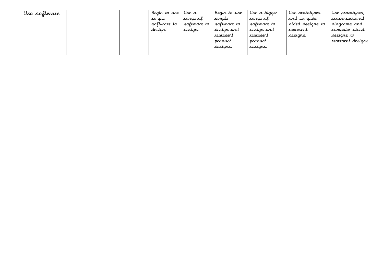| Use software |  | Begin to use | Use a       | Begin to use | Use a bigger | Use prototypes   | Use prototypes.    |
|--------------|--|--------------|-------------|--------------|--------------|------------------|--------------------|
|              |  | simple       | range of    | simple       | range of     | and computer     | cross-sectional    |
|              |  | soltware to  | software to | soltware to  | software to  | aided designs to | diagrams and       |
|              |  | design.      | design.     | design and   | design and   | represent        | computer aided     |
|              |  |              |             | represent    | represent    | designs.         | designs to         |
|              |  |              |             | product      | product      |                  | represent designs. |
|              |  |              |             | designs.     | designs.     |                  |                    |
|              |  |              |             |              |              |                  |                    |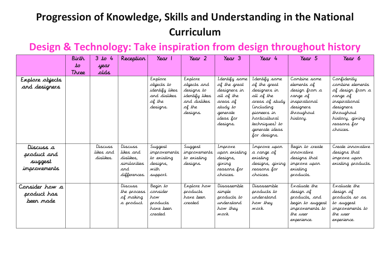#### **Design & Technology: Take inspiration from design throughout history**

|                                                     | Birth<br>to | 3 to 4                            | Reception                                                                | Year 1                                                                         | Year 2                                                                                       | Year 3                                                                                                                    | Year 4                                                                                                                                                                           | Year 5                                                                                                           | Year 6                                                                                                                                                    |
|-----------------------------------------------------|-------------|-----------------------------------|--------------------------------------------------------------------------|--------------------------------------------------------------------------------|----------------------------------------------------------------------------------------------|---------------------------------------------------------------------------------------------------------------------------|----------------------------------------------------------------------------------------------------------------------------------------------------------------------------------|------------------------------------------------------------------------------------------------------------------|-----------------------------------------------------------------------------------------------------------------------------------------------------------|
|                                                     | Three       | year<br>alds.                     |                                                                          |                                                                                |                                                                                              |                                                                                                                           |                                                                                                                                                                                  |                                                                                                                  |                                                                                                                                                           |
| Explore objects<br>and designers                    |             |                                   |                                                                          | Explore<br>objects to<br>identify likes.<br>and dislikes<br>of the<br>designs. | Explore<br>objects and<br>designs to<br>identify likes<br>and dislikes<br>of the<br>designs. | I dentify some<br>of the great<br>designers in<br>all of the<br>areas of<br>study to<br>generate<br>ideas for<br>designs. | I dentify some<br>of the great<br>designers in<br>all of the<br>areas of study<br>including)<br>pioneers in<br>horticultural<br>techniques) to<br>generate ideas<br>for designs. | Combine some<br>elements of<br>design from a<br>range of<br>inspirational<br>designers<br>throughout<br>history. | Confidently<br>combine elements<br>of design from a<br>range of<br>inspirational<br>designers<br>throughout<br>history, giving<br>reasons for<br>choices. |
| Discuss a<br>product and<br>suggest<br>improvements |             | Discuss<br>likes and<br>dislikes. | Discuss<br>likes and<br>dislikes.<br>similarities<br>and<br>differences. | Suggest<br>improvements<br>to existing<br>designs,<br>with<br>support.         | Suggest<br>improvements<br>to existing<br>designs.                                           | Improve<br>upon existing<br>designs,<br>giving<br>reasons for<br>choices.                                                 | Improve upon<br>a range of<br>existing<br>designs, giving<br>reasons for<br>choices.                                                                                             | Begin to create<br>irnovative<br>designs that<br>improve upor<br>existing<br>products.                           | Create innovative<br>designs that<br>improve upon<br>existing products.                                                                                   |
| Consider how a<br>product has<br>been made          |             |                                   | Discuss<br>the process<br>of making<br>a product.                        | Begin to<br>consider<br>how<br>products<br>have been<br>created                | Explore how<br>products<br>have been<br>created                                              | Disassemble<br>simple<br>products to<br>understand<br>how they<br>work.                                                   | Disassemble<br>products to<br>understand<br>how they<br>work.                                                                                                                    | Evaluate the<br>design of<br>products, and<br>begin to suggest<br>improvements to<br>the user<br>experience.     | Evaluate the<br>design of<br>products so as<br>to suggest<br>improvements to<br>the user<br>experience.                                                   |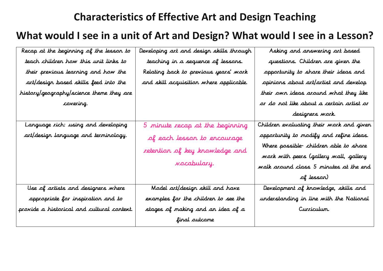### **Characteristics of Effective Art and Design Teaching**

#### **What would I see in a unit of Art and Design? What would I see in a Lesson?**

| Recap at the beginning of the lesson to    | Developing art and design skills through | Asking and answering art based           |
|--------------------------------------------|------------------------------------------|------------------------------------------|
| teach children how this unit links to      | teaching in a sequence of lessons.       | questions. Children are given the        |
| their previous learning and how the        | Relating back to previous years' work    | opportunity to share their ideas and     |
| art/design based skills feed into the      | and skill acquisition where applicable.  | opinions about art/artist and develop    |
| history/geography/science theme they are   |                                          | their own ideas around what they like    |
| <i>covering</i>                            |                                          | or do not like about a certain artist or |
|                                            |                                          | designers work.                          |
| Language rich: using and developing        | 5 minute recap at the beginning          | Children evaluating their work and given |
| art/design language and terminology.       | of each lesson to encourage              | opportunity to modify and refine ideas.  |
|                                            | retention of key knowledge and           | Where possible children able to share    |
|                                            |                                          | work with peers (gallery wall, gallery   |
|                                            | <i>vocabulary.</i>                       | walk around class 5 minutes at the end   |
|                                            |                                          | of lesson)                               |
| Use of artists and designers where         | Model art/design skill and have          | Development of knowledge, skills and     |
| appropriate for inspiration and to         | examples for the children to see the     | understanding in line with the National  |
| provide a historical and cultural context. | stages of making and an idea of a        | Curriculum.                              |
|                                            | final outcome                            |                                          |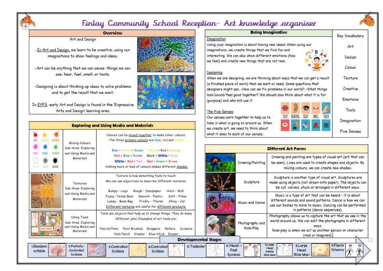

#### Finlay Community School Reception- Art knowledge organiser

#### **Overview**

Art and Design

-In Art and Design, we learn to be creative, using our imaginations to show feelings and ideas.

-Art can be anything that we can sense: things we can see, hear, feel, smell, or taste.

-Designing is about thinking up ideas to solve problems and to get the result that we want.

In EYFS, early Art and Design is found in the 'Expressive Arts and Design' learning area.

Scribble





#### **Exploring and Using Media and Materials**

| Texture is how something feels to touch.<br>We can use adjectives to describe different textures:<br>Textures<br>Sub-Area Exploring<br>Bumpy - Lego<br>Rough - Sandpaper<br>Hard - Wall<br>and Using Media and<br>Fuzzy - Teddy Bear Smooth - Plastic Soft - Pillow<br>Materials<br>Lumpy - Bean Bag Prickly - Thorns<br>Shiny - Car<br>Different textures are useful for different products.<br>Using Tools<br>different jobs. Examples of art tools are:<br>Sub-Area: Exploring | <b><i>COSMULT</i></b><br>GIEEN<br>就肥<br>Pos | Mixing Colours<br>Sub-Area: Exploring<br>and Using Media and<br>Materials | Colours can be mixed tagether to make other colours.<br>-The three primary colours are blue, red and<br>Blue - SixDow = Green - Nation + Red = Orange<br>Red + Blue = Purple Black + WWWe = Grey<br><b>Wild's - Red - Pink Red + Green = Brown</b> |
|-----------------------------------------------------------------------------------------------------------------------------------------------------------------------------------------------------------------------------------------------------------------------------------------------------------------------------------------------------------------------------------------------------------------------------------------------------------------------------------|---------------------------------------------|---------------------------------------------------------------------------|----------------------------------------------------------------------------------------------------------------------------------------------------------------------------------------------------------------------------------------------------|
|                                                                                                                                                                                                                                                                                                                                                                                                                                                                                   | ELICK                                       |                                                                           | -Adding more or less of colours makes different shades.                                                                                                                                                                                            |
| Materials<br>Hole Punch Stapler Glue-Stick Eraser                                                                                                                                                                                                                                                                                                                                                                                                                                 |                                             | and Using Media and                                                       | Tools are objects that help us to change things. They do many.<br>Pencils/Pens<br>Paint Brushes<br>Droppers<br>Rollers<br>Scissors                                                                                                                 |

| <b>Being Imaginative</b>                                                                                                |  |    |     | Key Vocabulary  |
|-------------------------------------------------------------------------------------------------------------------------|--|----|-----|-----------------|
| Imagination                                                                                                             |  |    |     |                 |
| Using your imagination is about having new ideas! When using our<br>imaginations, we create things that we find fun and |  |    |     | Art             |
| interesting. We can also show different emotions (how<br>we feel) and create new things that are not real.              |  |    |     | Design          |
|                                                                                                                         |  |    |     | Colour          |
| Designing                                                                                                               |  |    |     |                 |
| When we are designing, we are thinking about ways that we can get a result                                              |  |    |     | Texture         |
| (a finished piece of work) that we want or need. Some questions that                                                    |  |    |     |                 |
| designers might ask. -How can we fix problems in our world? -What things                                                |  |    |     | Creative        |
| look/sound/feel good together? We should also think about what it is for                                                |  |    |     |                 |
| (purpose) and who will use it.                                                                                          |  |    |     | <b>Emotions</b> |
| The Five Senses                                                                                                         |  |    |     | Tools           |
| Our senses work together to help us to                                                                                  |  | мa | WEI |                 |
| the district interesting which are some limited as an accommodal for an infinite service                                |  |    |     | Imagination     |

Our take in what is going on around us. When we create art, we need to think about what it does to each of our senses.

Sumbols

| Emotions    |
|-------------|
| Tools       |
| Imagination |
| Five Senses |

**Different Art Forms** Drawing and painting are types of visual art (art that can Drawing/Painting be seen). Lines are used to create shapes and objects. By mixing colours, we can create new shades. Sculpture is another type of visual art. Sculptures are Sculpture made using objects (not drawn onto paper). The objects can be cut, carved, stuck or arranged in different ways. Music is a type of art that can be heard - it is about different sounds and sound patterns. Dance is how we can Music and Dance use our bodies to move to music. Dancing can be performed in patterns (dance sequences). Photography allows us to capture the art that we see in the world around us. We can edit the photographs in different Photography and ways. Role-Play Role-play is when we act as another person or character (real or imagined). omental Stages 6. Head **SLorpe** 9.Figure 8.Large Head Feet Schemo Head Portiol

Stick Mon

Stick Mon